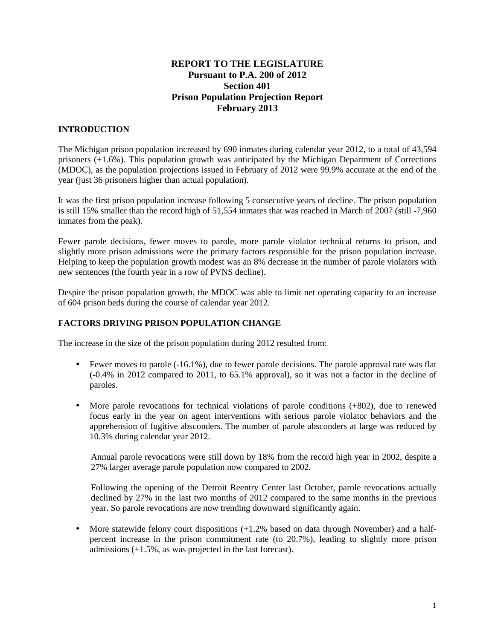# **REPORT TO THE LEGISLATURE Pursuant to P.A. 200 of 2012 Section 401 Prison Population Projection Report February 2013**

## **INTRODUCTION**

The Michigan prison population increased by 690 inmates during calendar year 2012, to a total of 43,594 prisoners (+1.6%). This population growth was anticipated by the Michigan Department of Corrections (MDOC), as the population projections issued in February of 2012 were 99.9% accurate at the end of the year (just 36 prisoners higher than actual population).

It was the first prison population increase following 5 consecutive years of decline. The prison population is still 15% smaller than the record high of 51,554 inmates that was reached in March of 2007 (still -7,960 inmates from the peak).

Fewer parole decisions, fewer moves to parole, more parole violator technical returns to prison, and slightly more prison admissions were the primary factors responsible for the prison population increase. Helping to keep the population growth modest was an 8% decrease in the number of parole violators with new sentences (the fourth year in a row of PVNS decline).

Despite the prison population growth, the MDOC was able to limit net operating capacity to an increase of 604 prison beds during the course of calendar year 2012.

#### **FACTORS DRIVING PRISON POPULATION CHANGE**

The increase in the size of the prison population during 2012 resulted from:

- Fewer moves to parole (-16.1%), due to fewer parole decisions. The parole approval rate was flat (-0.4% in 2012 compared to 2011, to 65.1% approval), so it was not a factor in the decline of paroles.
- More parole revocations for technical violations of parole conditions (+802), due to renewed focus early in the year on agent interventions with serious parole violator behaviors and the apprehension of fugitive absconders. The number of parole absconders at large was reduced by 10.3% during calendar year 2012.

Annual parole revocations were still down by 18% from the record high year in 2002, despite a 27% larger average parole population now compared to 2002.

Following the opening of the Detroit Reentry Center last October, parole revocations actually declined by 27% in the last two months of 2012 compared to the same months in the previous year. So parole revocations are now trending downward significantly again.

• More statewide felony court dispositions  $(+1.2\%$  based on data through November) and a halfpercent increase in the prison commitment rate (to 20.7%), leading to slightly more prison admissions (+1.5%, as was projected in the last forecast).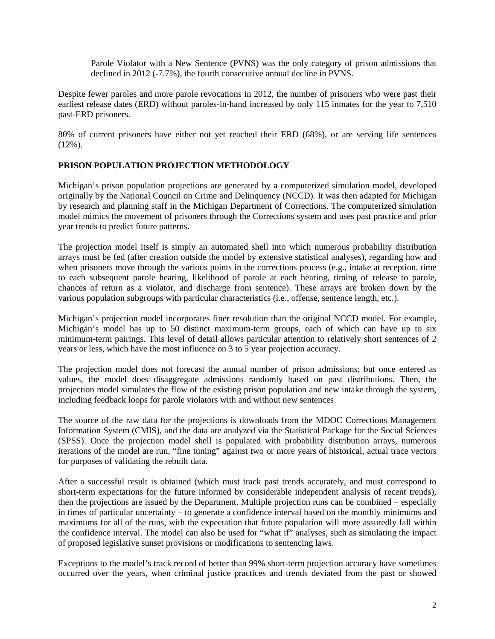Parole Violator with a New Sentence (PVNS) was the only category of prison admissions that declined in 2012 (-7.7%), the fourth consecutive annual decline in PVNS.

Despite fewer paroles and more parole revocations in 2012, the number of prisoners who were past their earliest release dates (ERD) without paroles-in-hand increased by only 115 inmates for the year to 7,510 past-ERD prisoners.

80% of current prisoners have either not yet reached their ERD (68%), or are serving life sentences  $(12\%)$ .

### **PRISON POPULATION PROJECTION METHODOLOGY**

Michigan's prison population projections are generated by a computerized simulation model, developed originally by the National Council on Crime and Delinquency (NCCD). It was then adapted for Michigan by research and planning staff in the Michigan Department of Corrections. The computerized simulation model mimics the movement of prisoners through the Corrections system and uses past practice and prior year trends to predict future patterns.

The projection model itself is simply an automated shell into which numerous probability distribution arrays must be fed (after creation outside the model by extensive statistical analyses), regarding how and when prisoners move through the various points in the corrections process (e.g., intake at reception, time to each subsequent parole hearing, likelihood of parole at each hearing, timing of release to parole, chances of return as a violator, and discharge from sentence). These arrays are broken down by the various population subgroups with particular characteristics (i.e., offense, sentence length, etc.).

Michigan's projection model incorporates finer resolution than the original NCCD model. For example, Michigan's model has up to 50 distinct maximum-term groups, each of which can have up to six minimum-term pairings. This level of detail allows particular attention to relatively short sentences of 2 years or less, which have the most influence on 3 to 5 year projection accuracy.

The projection model does not forecast the annual number of prison admissions; but once entered as values, the model does disaggregate admissions randomly based on past distributions. Then, the projection model simulates the flow of the existing prison population and new intake through the system, including feedback loops for parole violators with and without new sentences.

The source of the raw data for the projections is downloads from the MDOC Corrections Management Information System (CMIS), and the data are analyzed via the Statistical Package for the Social Sciences (SPSS). Once the projection model shell is populated with probability distribution arrays, numerous iterations of the model are run, "fine tuning" against two or more years of historical, actual trace vectors for purposes of validating the rebuilt data.

After a successful result is obtained (which must track past trends accurately, and must correspond to short-term expectations for the future informed by considerable independent analysis of recent trends), then the projections are issued by the Department. Multiple projection runs can be combined – especially in times of particular uncertainty – to generate a confidence interval based on the monthly minimums and maximums for all of the runs, with the expectation that future population will more assuredly fall within the confidence interval. The model can also be used for "what if" analyses, such as simulating the impact of proposed legislative sunset provisions or modifications to sentencing laws.

Exceptions to the model's track record of better than 99% short-term projection accuracy have sometimes occurred over the years, when criminal justice practices and trends deviated from the past or showed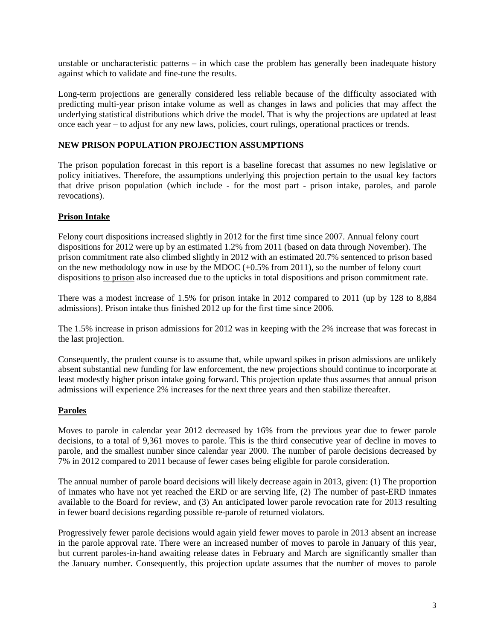unstable or uncharacteristic patterns – in which case the problem has generally been inadequate history against which to validate and fine-tune the results.

Long-term projections are generally considered less reliable because of the difficulty associated with predicting multi-year prison intake volume as well as changes in laws and policies that may affect the underlying statistical distributions which drive the model. That is why the projections are updated at least once each year – to adjust for any new laws, policies, court rulings, operational practices or trends.

### **NEW PRISON POPULATION PROJECTION ASSUMPTIONS**

The prison population forecast in this report is a baseline forecast that assumes no new legislative or policy initiatives. Therefore, the assumptions underlying this projection pertain to the usual key factors that drive prison population (which include - for the most part - prison intake, paroles, and parole revocations).

### **Prison Intake**

Felony court dispositions increased slightly in 2012 for the first time since 2007. Annual felony court dispositions for 2012 were up by an estimated 1.2% from 2011 (based on data through November). The prison commitment rate also climbed slightly in 2012 with an estimated 20.7% sentenced to prison based on the new methodology now in use by the MDOC (+0.5% from 2011), so the number of felony court dispositions to prison also increased due to the upticks in total dispositions and prison commitment rate.

There was a modest increase of 1.5% for prison intake in 2012 compared to 2011 (up by 128 to 8,884 admissions). Prison intake thus finished 2012 up for the first time since 2006.

The 1.5% increase in prison admissions for 2012 was in keeping with the 2% increase that was forecast in the last projection.

Consequently, the prudent course is to assume that, while upward spikes in prison admissions are unlikely absent substantial new funding for law enforcement, the new projections should continue to incorporate at least modestly higher prison intake going forward. This projection update thus assumes that annual prison admissions will experience 2% increases for the next three years and then stabilize thereafter.

## **Paroles**

Moves to parole in calendar year 2012 decreased by 16% from the previous year due to fewer parole decisions, to a total of 9,361 moves to parole. This is the third consecutive year of decline in moves to parole, and the smallest number since calendar year 2000. The number of parole decisions decreased by 7% in 2012 compared to 2011 because of fewer cases being eligible for parole consideration.

The annual number of parole board decisions will likely decrease again in 2013, given: (1) The proportion of inmates who have not yet reached the ERD or are serving life, (2) The number of past-ERD inmates available to the Board for review, and (3) An anticipated lower parole revocation rate for 2013 resulting in fewer board decisions regarding possible re-parole of returned violators.

Progressively fewer parole decisions would again yield fewer moves to parole in 2013 absent an increase in the parole approval rate. There were an increased number of moves to parole in January of this year, but current paroles-in-hand awaiting release dates in February and March are significantly smaller than the January number. Consequently, this projection update assumes that the number of moves to parole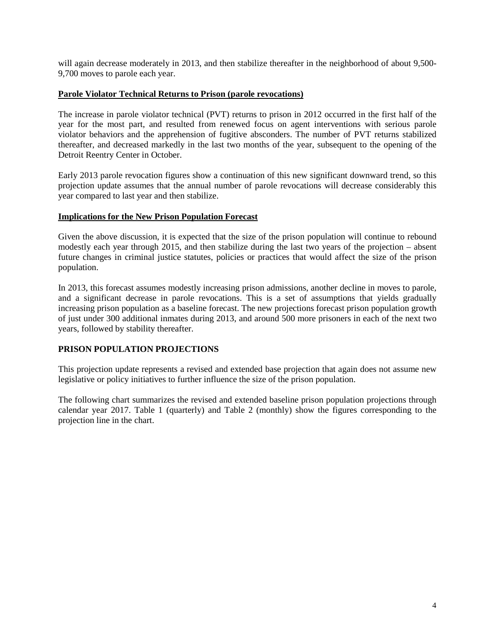will again decrease moderately in 2013, and then stabilize thereafter in the neighborhood of about 9,500- 9,700 moves to parole each year.

#### **Parole Violator Technical Returns to Prison (parole revocations)**

The increase in parole violator technical (PVT) returns to prison in 2012 occurred in the first half of the year for the most part, and resulted from renewed focus on agent interventions with serious parole violator behaviors and the apprehension of fugitive absconders. The number of PVT returns stabilized thereafter, and decreased markedly in the last two months of the year, subsequent to the opening of the Detroit Reentry Center in October.

Early 2013 parole revocation figures show a continuation of this new significant downward trend, so this projection update assumes that the annual number of parole revocations will decrease considerably this year compared to last year and then stabilize.

#### **Implications for the New Prison Population Forecast**

Given the above discussion, it is expected that the size of the prison population will continue to rebound modestly each year through 2015, and then stabilize during the last two years of the projection – absent future changes in criminal justice statutes, policies or practices that would affect the size of the prison population.

In 2013, this forecast assumes modestly increasing prison admissions, another decline in moves to parole, and a significant decrease in parole revocations. This is a set of assumptions that yields gradually increasing prison population as a baseline forecast. The new projections forecast prison population growth of just under 300 additional inmates during 2013, and around 500 more prisoners in each of the next two years, followed by stability thereafter.

## **PRISON POPULATION PROJECTIONS**

This projection update represents a revised and extended base projection that again does not assume new legislative or policy initiatives to further influence the size of the prison population.

The following chart summarizes the revised and extended baseline prison population projections through calendar year 2017. Table 1 (quarterly) and Table 2 (monthly) show the figures corresponding to the projection line in the chart.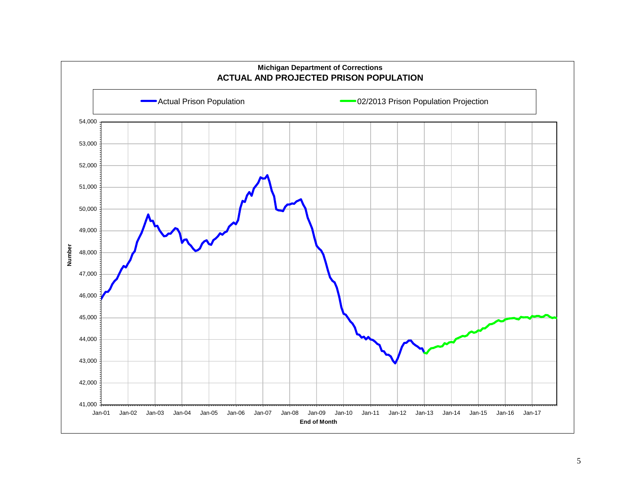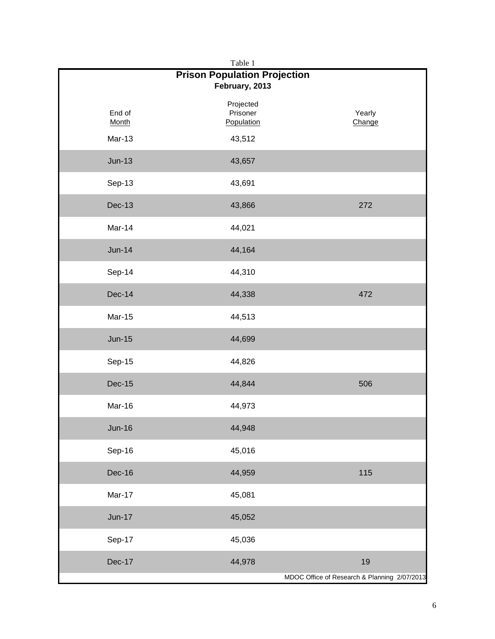| Table 1<br><b>Prison Population Projection</b><br>February, 2013 |                                     |                  |  |
|------------------------------------------------------------------|-------------------------------------|------------------|--|
| End of<br><b>Month</b><br>Mar-13                                 | Projected<br>Prisoner<br>Population | Yearly<br>Change |  |
|                                                                  | 43,512                              |                  |  |
| $Jun-13$                                                         | 43,657                              |                  |  |
| Sep-13                                                           | 43,691                              |                  |  |
| <b>Dec-13</b>                                                    | 43,866                              | 272              |  |
| Mar-14                                                           | 44,021                              |                  |  |
| <b>Jun-14</b>                                                    | 44,164                              |                  |  |
| Sep-14                                                           | 44,310                              |                  |  |
| <b>Dec-14</b>                                                    | 44,338                              | 472              |  |
| Mar-15                                                           | 44,513                              |                  |  |
| <b>Jun-15</b>                                                    | 44,699                              |                  |  |
| Sep-15                                                           | 44,826                              |                  |  |
| <b>Dec-15</b>                                                    | 44,844                              | 506              |  |
| Mar-16                                                           | 44,973                              |                  |  |
| <b>Jun-16</b>                                                    | 44,948                              |                  |  |
| Sep-16                                                           | 45,016                              |                  |  |
| Dec-16                                                           | 44,959                              | 115              |  |
| Mar-17                                                           | 45,081                              |                  |  |
| $Jun-17$                                                         | 45,052                              |                  |  |
| Sep-17                                                           | 45,036                              |                  |  |
| Dec-17                                                           | 44,978                              | 19               |  |
| MDOC Office of Research & Planning 2/07/2013                     |                                     |                  |  |